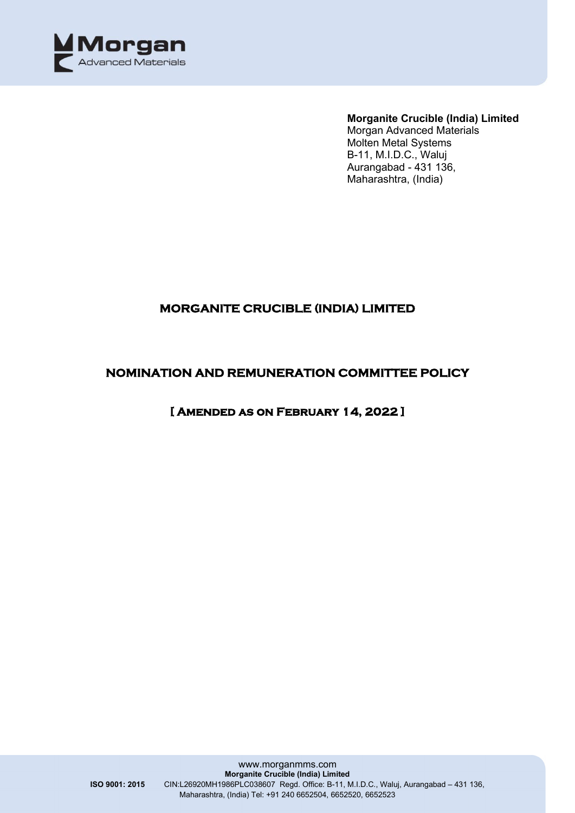

#### **Morganite Crucible (India) Limited**

Morgan Advanced Materials Molten Metal Systems B-11, M.I.D.C., Waluj Aurangabad - 431 136, Maharashtra, (India)

# **MORGANITE CRUCIBLE (INDIA) LIMITED**

## **NOMINATION AND REMUNERATION COMMITTEE POLICY**

## **[ Amended as on February 14, 2022 ]**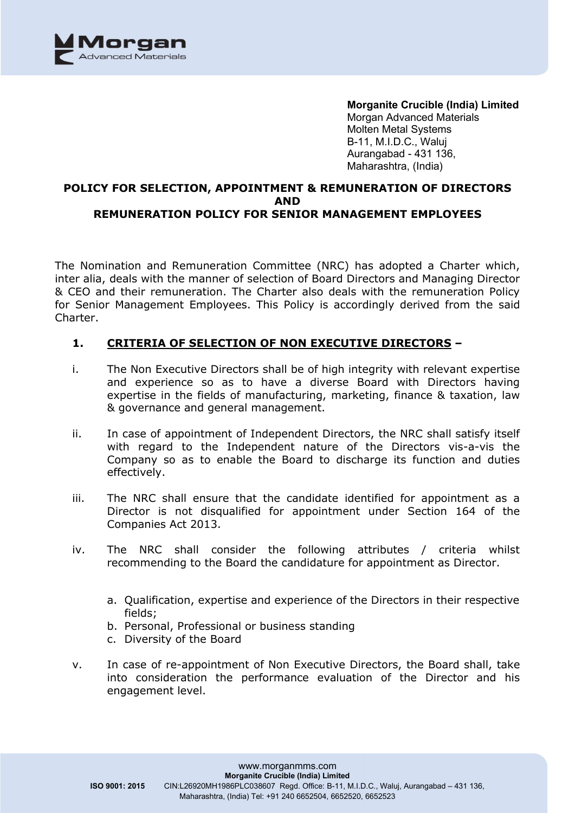

**Morganite Crucible (India) Limited** Morgan Advanced Materials Molten Metal Systems B-11, M.I.D.C., Waluj Aurangabad - 431 136, Maharashtra, (India)

### **POLICY FOR SELECTION, APPOINTMENT & REMUNERATION OF DIRECTORS AND REMUNERATION POLICY FOR SENIOR MANAGEMENT EMPLOYEES**

The Nomination and Remuneration Committee (NRC) has adopted a Charter which, inter alia, deals with the manner of selection of Board Directors and Managing Director & CEO and their remuneration. The Charter also deals with the remuneration Policy for Senior Management Employees. This Policy is accordingly derived from the said Charter.

#### **1. CRITERIA OF SELECTION OF NON EXECUTIVE DIRECTORS –**

- i. The Non Executive Directors shall be of high integrity with relevant expertise and experience so as to have a diverse Board with Directors having expertise in the fields of manufacturing, marketing, finance & taxation, law & governance and general management.
- ii. In case of appointment of Independent Directors, the NRC shall satisfy itself with regard to the Independent nature of the Directors vis-a-vis the Company so as to enable the Board to discharge its function and duties effectively.
- iii. The NRC shall ensure that the candidate identified for appointment as a Director is not disqualified for appointment under Section 164 of the Companies Act 2013.
- iv. The NRC shall consider the following attributes / criteria whilst recommending to the Board the candidature for appointment as Director.
	- a. Qualification, expertise and experience of the Directors in their respective fields;
	- b. Personal, Professional or business standing
	- c. Diversity of the Board
- v. In case of re-appointment of Non Executive Directors, the Board shall, take into consideration the performance evaluation of the Director and his engagement level.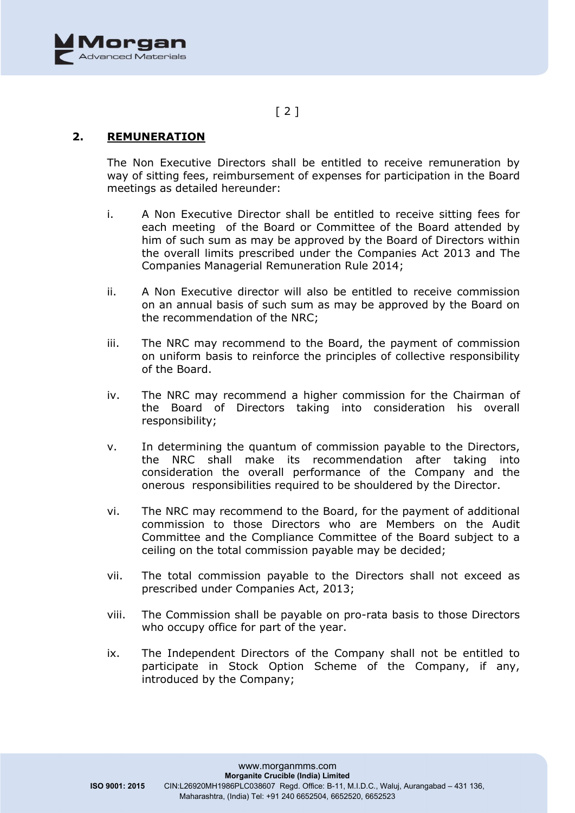

# $[2]$

### **2. REMUNERATION**

The Non Executive Directors shall be entitled to receive remuneration by way of sitting fees, reimbursement of expenses for participation in the Board meetings as detailed hereunder:

- i. A Non Executive Director shall be entitled to receive sitting fees for each meeting of the Board or Committee of the Board attended by him of such sum as may be approved by the Board of Directors within the overall limits prescribed under the Companies Act 2013 and The Companies Managerial Remuneration Rule 2014;
- ii. A Non Executive director will also be entitled to receive commission on an annual basis of such sum as may be approved by the Board on the recommendation of the NRC;
- iii. The NRC may recommend to the Board, the payment of commission on uniform basis to reinforce the principles of collective responsibility of the Board.
- iv. The NRC may recommend a higher commission for the Chairman of the Board of Directors taking into consideration his overall responsibility;
- v. In determining the quantum of commission payable to the Directors, the NRC shall make its recommendation after taking into consideration the overall performance of the Company and the onerous responsibilities required to be shouldered by the Director.
- vi. The NRC may recommend to the Board, for the payment of additional commission to those Directors who are Members on the Audit Committee and the Compliance Committee of the Board subject to a ceiling on the total commission payable may be decided;
- vii. The total commission payable to the Directors shall not exceed as prescribed under Companies Act, 2013;
- viii. The Commission shall be payable on pro-rata basis to those Directors who occupy office for part of the year.
- ix. The Independent Directors of the Company shall not be entitled to participate in Stock Option Scheme of the Company, if any, introduced by the Company;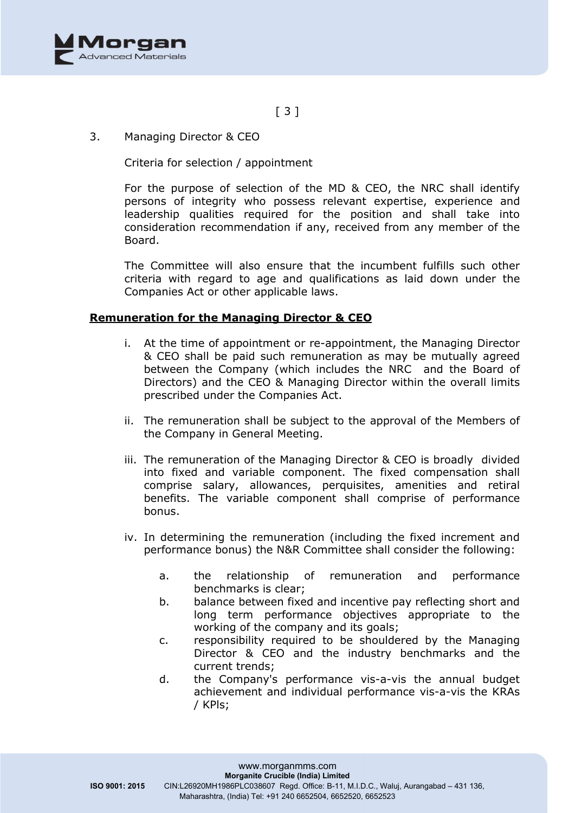

# [ 3 ]

3. Managing Director & CEO

Criteria for selection / appointment

For the purpose of selection of the MD & CEO, the NRC shall identify persons of integrity who possess relevant expertise, experience and leadership qualities required for the position and shall take into consideration recommendation if any, received from any member of the Board.

The Committee will also ensure that the incumbent fulfills such other criteria with regard to age and qualifications as laid down under the Companies Act or other applicable laws.

#### **Remuneration for the Managing Director & CEO**

- i. At the time of appointment or re-appointment, the Managing Director & CEO shall be paid such remuneration as may be mutually agreed between the Company (which includes the NRC and the Board of Directors) and the CEO & Managing Director within the overall limits prescribed under the Companies Act.
- ii. The remuneration shall be subject to the approval of the Members of the Company in General Meeting.
- iii. The remuneration of the Managing Director & CEO is broadly divided into fixed and variable component. The fixed compensation shall comprise salary, allowances, perquisites, amenities and retiral benefits. The variable component shall comprise of performance bonus.
- iv. In determining the remuneration (including the fixed increment and performance bonus) the N&R Committee shall consider the following:
	- a. the relationship of remuneration and performance benchmarks is clear;
	- b. balance between fixed and incentive pay reflecting short and long term performance objectives appropriate to the working of the company and its goals;
	- c. responsibility required to be shouldered by the Managing Director & CEO and the industry benchmarks and the current trends;
	- d. the Company's performance vis-a-vis the annual budget achievement and individual performance vis-a-vis the KRAs / KPls;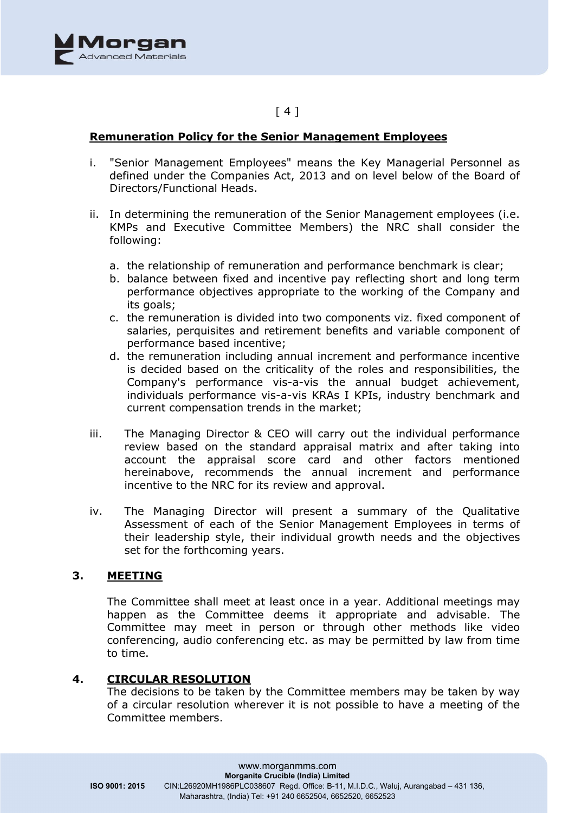

## [ 4 ]

#### **Remuneration Policy for the Senior Management Employees**

- i. "Senior Management Employees" means the Key Managerial Personnel as defined under the Companies Act, 2013 and on level below of the Board of Directors/Functional Heads.
- ii. In determining the remuneration of the Senior Management employees (i.e. KMPs and Executive Committee Members) the NRC shall consider the following:
	- a. the relationship of remuneration and performance benchmark is clear;
	- b. balance between fixed and incentive pay reflecting short and long term performance objectives appropriate to the working of the Company and its goals;
	- c. the remuneration is divided into two components viz. fixed component of salaries, perquisites and retirement benefits and variable component of performance based incentive;
	- d. the remuneration including annual increment and performance incentive is decided based on the criticality of the roles and responsibilities, the Company's performance vis-a-vis the annual budget achievement, individuals performance vis-a-vis KRAs I KPIs, industry benchmark and current compensation trends in the market;
- iii. The Managing Director & CEO will carry out the individual performance review based on the standard appraisal matrix and after taking into account the appraisal score card and other factors mentioned hereinabove, recommends the annual increment and performance incentive to the NRC for its review and approval.
- iv. The Managing Director will present a summary of the Qualitative Assessment of each of the Senior Management Employees in terms of their leadership style, their individual growth needs and the objectives set for the forthcoming years.

### **3. MEETING**

The Committee shall meet at least once in a year. Additional meetings may happen as the Committee deems it appropriate and advisable. The Committee may meet in person or through other methods like video conferencing, audio conferencing etc. as may be permitted by law from time to time.

#### **4. CIRCULAR RESOLUTION**

The decisions to be taken by the Committee members may be taken by way of a circular resolution wherever it is not possible to have a meeting of the Committee members.